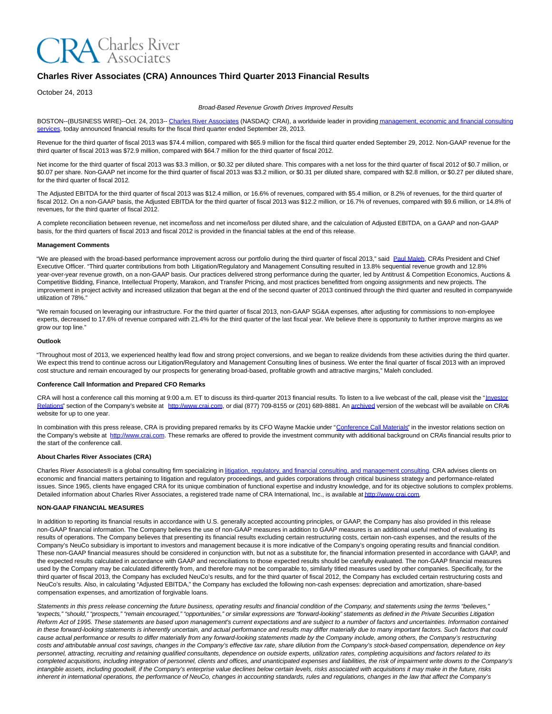

## **Charles River Associates (CRA) Announces Third Quarter 2013 Financial Results**

October 24, 2013

#### Broad-Based Revenue Growth Drives Improved Results

BOSTON--(BUSINESS WIRE)--Oct. 24, 2013-- [Charles River Associates \(](http://cts.businesswire.com/ct/CT?id=smartlink&url=http%3A%2F%2Fwww.crai.com%2FDefault.aspx&esheet=50735449&newsitemid=20131024005745&lan=en-US&anchor=Charles+River+Associates&index=1&md5=6561a80f3d2c2bc96faf1abb6a9e3723)NASDAQ: CRAI), a worldwide leader in providing [management, economic and financial consulting](http://cts.businesswire.com/ct/CT?id=smartlink&url=http%3A%2F%2Fwww.crai.com%2FConsultingExpertise%2FDefaultCustom.aspx&esheet=50735449&newsitemid=20131024005745&lan=en-US&anchor=management%2C+economic+and+financial+consulting+services&index=2&md5=894e4b228c982fffad0b8c5dbff72359) services, today announced financial results for the fiscal third quarter ended September 28, 2013.

Revenue for the third quarter of fiscal 2013 was \$74.4 million, compared with \$65.9 million for the fiscal third quarter ended September 29, 2012. Non-GAAP revenue for the third quarter of fiscal 2013 was \$72.9 million, compared with \$64.7 million for the third quarter of fiscal 2012.

Net income for the third quarter of fiscal 2013 was \$3.3 million, or \$0.32 per diluted share. This compares with a net loss for the third quarter of fiscal 2012 of \$0.7 million, or \$0.07 per share. Non-GAAP net income for the third quarter of fiscal 2013 was \$3.2 million, or \$0.31 per diluted share, compared with \$2.8 million, or \$0.27 per diluted share, for the third quarter of fiscal 2012.

The Adjusted EBITDA for the third quarter of fiscal 2013 was \$12.4 million, or 16.6% of revenues, compared with \$5.4 million, or 8.2% of revenues, for the third quarter of fiscal 2012. On a non-GAAP basis, the Adjusted EBITDA for the third quarter of fiscal 2013 was \$12.2 million, or 16.7% of revenues, compared with \$9.6 million, or 14.8% of revenues, for the third quarter of fiscal 2012.

A complete reconciliation between revenue, net income/loss and net income/loss per diluted share, and the calculation of Adjusted EBITDA, on a GAAP and non-GAAP basis, for the third quarters of fiscal 2013 and fiscal 2012 is provided in the financial tables at the end of this release.

#### **Management Comments**

"We are pleased with the broad-based performance improvement across our portfolio during the third quarter of fiscal 2013," said [Paul Maleh,](http://cts.businesswire.com/ct/CT?id=smartlink&url=http%3A%2F%2Fwww.crai.com%2FProfessionalStaff%2Flistingdetails.aspx%3Fid%3D2580&esheet=50735449&newsitemid=20131024005745&lan=en-US&anchor=Paul+Maleh&index=3&md5=10cd1b85d5943459c26ec99396861f9d) CRA's President and Chief Executive Officer. "Third quarter contributions from both Litigation/Regulatory and Management Consulting resulted in 13.8% sequential revenue growth and 12.8% year-over-year revenue growth, on a non-GAAP basis. Our practices delivered strong performance during the quarter, led by Antitrust & Competition Economics, Auctions & Competitive Bidding, Finance, Intellectual Property, Marakon, and Transfer Pricing, and most practices benefitted from ongoing assignments and new projects. The improvement in project activity and increased utilization that began at the end of the second quarter of 2013 continued through the third quarter and resulted in companywide utilization of 78%."

"We remain focused on leveraging our infrastructure. For the third quarter of fiscal 2013, non-GAAP SG&A expenses, after adjusting for commissions to non-employee experts, decreased to 17.6% of revenue compared with 21.4% for the third quarter of the last fiscal year. We believe there is opportunity to further improve margins as we grow our top line."

#### **Outlook**

"Throughout most of 2013, we experienced healthy lead flow and strong project conversions, and we began to realize dividends from these activities during the third quarter. We expect this trend to continue across our Litigation/Regulatory and Management Consulting lines of business. We enter the final quarter of fiscal 2013 with an improved cost structure and remain encouraged by our prospects for generating broad-based, profitable growth and attractive margins," Maleh concluded.

#### **Conference Call Information and Prepared CFO Remarks**

CRA will host a conference call this morning at 9:00 a.m. ET to discuss its third-quarter 2013 financial results. To listen to a live webcast of the call, please visit the ["Investor](http://cts.businesswire.com/ct/CT?id=smartlink&url=http%3A%2F%2Fphx.corporate-ir.net%2Fphoenix.zhtml%3Fc%3D97435%26p%3Dirol-IRHome&esheet=50735449&newsitemid=20131024005745&lan=en-US&anchor=Investor+Relations&index=4&md5=ccae47b109ce7d6a26f2bccdd0757ace) Relations" section of the Company's website at [http://www.crai.com,](http://cts.businesswire.com/ct/CT?id=smartlink&url=http%3A%2F%2Fwww.crai.com%2FDefault.aspx&esheet=50735449&newsitemid=20131024005745&lan=en-US&anchor=http%3A%2F%2Fwww.crai.com&index=5&md5=583e61f33c18a68531e1ee60588c5a65) or dial (877) 709-8155 or (201) 689-8881. A[n archived v](http://cts.businesswire.com/ct/CT?id=smartlink&url=http%3A%2F%2Fphx.corporate-ir.net%2Fphoenix.zhtml%3Fc%3D97435%26p%3Dirol-audioarchives&esheet=50735449&newsitemid=20131024005745&lan=en-US&anchor=archived&index=6&md5=b709fa14b2b0bb56911d49284355452d)ersion of the webcast will be available on CRA's website for up to one year.

In combination with this press release, CRA is providing prepared remarks by its CFO Wayne Mackie under ["Conference Call Materials"](http://cts.businesswire.com/ct/CT?id=smartlink&url=http%3A%2F%2Fphx.corporate-ir.net%2Fphoenix.zhtml%3Fc%3D97435%26p%3Dirol-presentations&esheet=50735449&newsitemid=20131024005745&lan=en-US&anchor=Conference+Call+Materials&index=7&md5=d6543849df06d82ad15cc00701bce365) in the investor relations section on the Company's website at [http://www.crai.com.](http://cts.businesswire.com/ct/CT?id=smartlink&url=http%3A%2F%2Fwww.crai.com%2FDefault.aspx&esheet=50735449&newsitemid=20131024005745&lan=en-US&anchor=http%3A%2F%2Fwww.crai.com&index=8&md5=3a19794f87c92a7a9ab194b2bff1b092) These remarks are offered to provide the investment community with additional background on CRA's financial results prior to the start of the conference call.

#### **About Charles River Associates (CRA)**

Charles River Associates® is a global consulting firm specializing i[n litigation, regulatory, and financial consulting, and management consulting.](http://cts.businesswire.com/ct/CT?id=smartlink&url=http%3A%2F%2Fwww.crai.com%2FConsultingExpertise%2FDefaultCustom.aspx&esheet=50735449&newsitemid=20131024005745&lan=en-US&anchor=litigation%2C+regulatory%2C+and+financial+consulting%2C+and+management+consulting&index=9&md5=c3f2c44ccd13934c60e645cb50e811f4) CRA advises clients on economic and financial matters pertaining to litigation and regulatory proceedings, and guides corporations through critical business strategy and performance-related issues. Since 1965, clients have engaged CRA for its unique combination of functional expertise and industry knowledge, and for its objective solutions to complex problems. Detailed information about Charles River Associates, a registered trade name of CRA International, Inc., is available a[t http://www.crai.com.](http://cts.businesswire.com/ct/CT?id=smartlink&url=http%3A%2F%2Fwww.crai.com%2FDefault.aspx&esheet=50735449&newsitemid=20131024005745&lan=en-US&anchor=http%3A%2F%2Fwww.crai.com&index=10&md5=cfcd9b47c2122cd35ca56733ac7e8ce6)

#### **NON-GAAP FINANCIAL MEASURES**

In addition to reporting its financial results in accordance with U.S. generally accepted accounting principles, or GAAP, the Company has also provided in this release non-GAAP financial information. The Company believes the use of non-GAAP measures in addition to GAAP measures is an additional useful method of evaluating its results of operations. The Company believes that presenting its financial results excluding certain restructuring costs, certain non-cash expenses, and the results of the Company's NeuCo subsidiary is important to investors and management because it is more indicative of the Company's ongoing operating results and financial condition. These non-GAAP financial measures should be considered in conjunction with, but not as a substitute for, the financial information presented in accordance with GAAP, and the expected results calculated in accordance with GAAP and reconciliations to those expected results should be carefully evaluated. The non-GAAP financial measures used by the Company may be calculated differently from, and therefore may not be comparable to, similarly titled measures used by other companies. Specifically, for the third quarter of fiscal 2013, the Company has excluded NeuCo's results, and for the third quarter of fiscal 2012, the Company has excluded certain restructuring costs and NeuCo's results. Also, in calculating "Adjusted EBITDA," the Company has excluded the following non-cash expenses: depreciation and amortization, share-based compensation expenses, and amortization of forgivable loans.

Statements in this press release concerning the future business, operating results and financial condition of the Company, and statements using the terms "believes," "expects," "should," "prospects," "remain encouraged," "opportunities," or similar expressions are "forward-looking" statements as defined in the Private Securities Litigation Reform Act of 1995. These statements are based upon management's current expectations and are subject to a number of factors and uncertainties. Information contained in these forward-looking statements is inherently uncertain, and actual performance and results may differ materially due to many important factors. Such factors that could cause actual performance or results to differ materially from any forward-looking statements made by the Company include, among others, the Company's restructuring costs and attributable annual cost savings, changes in the Company's effective tax rate, share dilution from the Company's stock-based compensation, dependence on key personnel, attracting, recruiting and retaining qualified consultants, dependence on outside experts, utilization rates, completing acquisitions and factors related to its completed acquisitions, including integration of personnel, clients and offices, and unanticipated expenses and liabilities, the risk of impairment write downs to the Company's intangible assets, including goodwill, if the Company's enterprise value declines below certain levels, risks associated with acquisitions it may make in the future, risks inherent in international operations, the performance of NeuCo, changes in accounting standards, rules and regulations, changes in the law that affect the Company's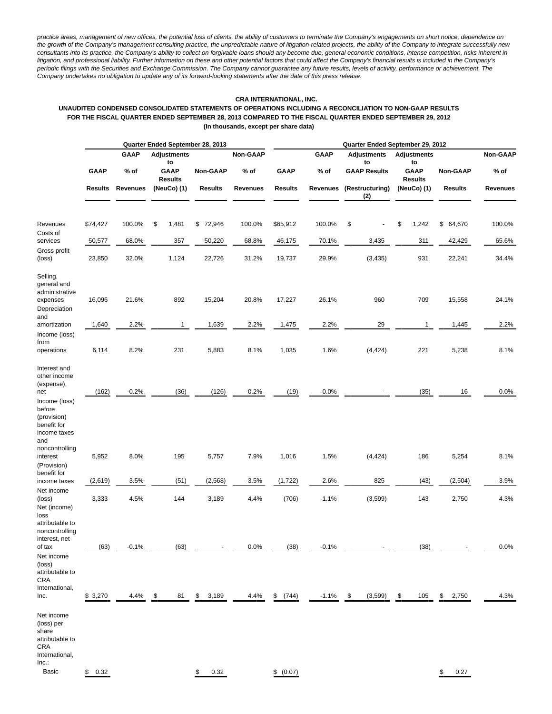practice areas, management of new offices, the potential loss of clients, the ability of customers to terminate the Company's engagements on short notice, dependence on the growth of the Company's management consulting practice, the unpredictable nature of litigation-related projects, the ability of the Company to integrate successfully new consultants into its practice, the Company's ability to collect on forgivable loans should any become due, general economic conditions, intense competition, risks inherent in litigation, and professional liability. Further information on these and other potential factors that could affect the Company's financial results is included in the Company's periodic filings with the Securities and Exchange Commission. The Company cannot guarantee any future results, levels of activity, performance or achievement. The Company undertakes no obligation to update any of its forward-looking statements after the date of this press release.

### **CRA INTERNATIONAL, INC.**

### **UNAUDITED CONDENSED CONSOLIDATED STATEMENTS OF OPERATIONS INCLUDING A RECONCILIATION TO NON-GAAP RESULTS FOR THE FISCAL QUARTER ENDED SEPTEMBER 28, 2013 COMPARED TO THE FISCAL QUARTER ENDED SEPTEMBER 29, 2012 (In thousands, except per share data)**

|                                                                                                            |             |                 | Quarter Ended September 28, 2013 |                 |                 |                |             |                          |                               |                 |                 |
|------------------------------------------------------------------------------------------------------------|-------------|-----------------|----------------------------------|-----------------|-----------------|----------------|-------------|--------------------------|-------------------------------|-----------------|-----------------|
|                                                                                                            |             | <b>GAAP</b>     | <b>Adjustments</b><br>to         |                 | <b>Non-GAAP</b> |                | <b>GAAP</b> | <b>Adjustments</b><br>to | <b>Adjustments</b><br>to      |                 | Non-GAAP        |
|                                                                                                            | <b>GAAP</b> | % of            | <b>GAAP</b><br><b>Results</b>    | <b>Non-GAAP</b> | $%$ of          | <b>GAAP</b>    | % of        | <b>GAAP Results</b>      | <b>GAAP</b><br><b>Results</b> | <b>Non-GAAP</b> | % of            |
|                                                                                                            | Results     | <b>Revenues</b> | (NeuCo) (1)                      | <b>Results</b>  | Revenues        | <b>Results</b> | Revenues    | (Restructuring)<br>(2)   | (NeuCo) (1)                   | Results         | <b>Revenues</b> |
| Revenues                                                                                                   | \$74,427    | 100.0%          | 1,481<br>\$                      | \$<br>72,946    | 100.0%          | \$65,912       | 100.0%      | \$                       | \$<br>1,242                   | \$<br>64,670    | 100.0%          |
| Costs of<br>services                                                                                       | 50,577      | 68.0%           | 357                              | 50,220          | 68.8%           | 46,175         | 70.1%       | 3,435                    | 311                           | 42,429          | 65.6%           |
| Gross profit<br>(loss)                                                                                     | 23,850      | 32.0%           | 1,124                            | 22,726          | 31.2%           | 19,737         | 29.9%       | (3, 435)                 | 931                           | 22,241          | 34.4%           |
| Selling,<br>general and<br>administrative<br>expenses<br>Depreciation                                      | 16,096      | 21.6%           | 892                              | 15,204          | 20.8%           | 17,227         | 26.1%       | 960                      | 709                           | 15,558          | 24.1%           |
| and<br>amortization                                                                                        | 1,640       | 2.2%            | 1                                | 1,639           | 2.2%            | 1,475          | 2.2%        | 29                       | 1                             | 1,445           | 2.2%            |
| Income (loss)<br>from<br>operations                                                                        | 6,114       | 8.2%            | 231                              | 5,883           | 8.1%            | 1,035          | 1.6%        | (4, 424)                 | 221                           | 5,238           | 8.1%            |
| Interest and<br>other income<br>(expense),<br>net<br>Income (loss)<br>before<br>(provision)<br>benefit for | (162)       | $-0.2%$         | (36)                             | (126)           | $-0.2%$         | (19)           | 0.0%        |                          | (35)                          | 16              | 0.0%            |
| income taxes<br>and<br>noncontrolling<br>interest<br>(Provision)<br>benefit for                            | 5,952       | 8.0%            | 195                              | 5,757           | 7.9%            | 1,016          | 1.5%        | (4, 424)                 | 186                           | 5,254           | 8.1%            |
| income taxes                                                                                               | (2,619)     | $-3.5%$         | (51)                             | (2, 568)        | $-3.5%$         | (1, 722)       | $-2.6%$     | 825                      | (43)                          | (2,504)         | $-3.9%$         |
| Net income<br>(loss)<br>Net (income)<br>loss                                                               | 3,333       | 4.5%            | 144                              | 3,189           | 4.4%            | (706)          | $-1.1%$     | (3, 599)                 | 143                           | 2,750           | 4.3%            |
| attributable to<br>noncontrolling<br>interest, net<br>of tax<br>Net income<br>(loss)<br>attributable to    | (63)        | $-0.1%$         | (63)                             |                 | 0.0%            | (38)           | $-0.1%$     |                          | (38)                          |                 | 0.0%            |
| CRA<br>International,<br>Inc.                                                                              | \$3,270     | 4.4%            | \$<br>81                         | \$<br>3,189     | 4.4%            | \$<br>(744)    | $-1.1%$     | (3,599)<br>\$            | \$<br>105                     | \$<br>2,750     | 4.3%            |
| Net income<br>(loss) per<br>share<br>attributable to<br><b>CRA</b><br>International,<br>Inc.               |             |                 |                                  |                 |                 |                |             |                          |                               |                 |                 |
| Basic                                                                                                      | \$0.32      |                 |                                  | \$<br>0.32      |                 | \$ (0.07)      |             |                          |                               | \$<br>0.27      |                 |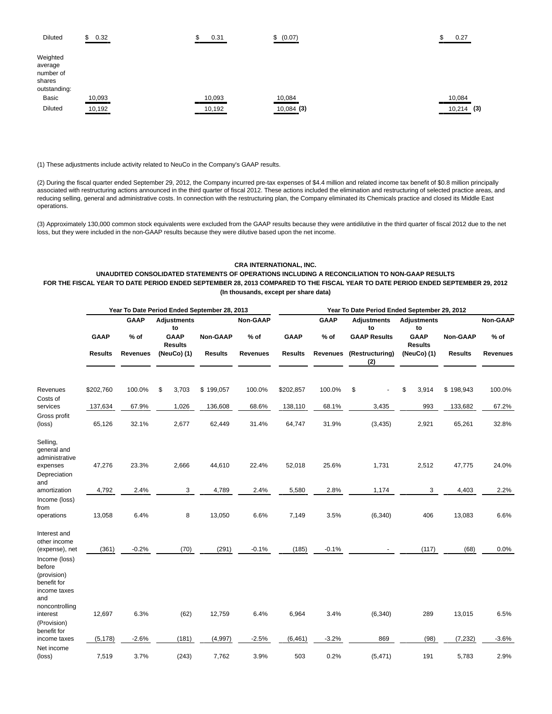| <b>Diluted</b>                                             | 0.32<br>\$<br>________ | 0.31<br>œ<br>J | \$ (0.07)    | 0.27<br>_____ |
|------------------------------------------------------------|------------------------|----------------|--------------|---------------|
| Weighted<br>average<br>number of<br>shares<br>outstanding: |                        |                |              |               |
| Basic                                                      | 10,093                 | 10,093         | 10,084       | 10,084        |
| <b>Diluted</b>                                             | 10,192                 | 10,192         | $10,084$ (3) | 10,214<br>(3) |

(1) These adjustments include activity related to NeuCo in the Company's GAAP results.

(2) During the fiscal quarter ended September 29, 2012, the Company incurred pre-tax expenses of \$4.4 million and related income tax benefit of \$0.8 million principally associated with restructuring actions announced in the third quarter of fiscal 2012. These actions included the elimination and restructuring of selected practice areas, and reducing selling, general and administrative costs. In connection with the restructuring plan, the Company eliminated its Chemicals practice and closed its Middle East operations.

(3) Approximately 130,000 common stock equivalents were excluded from the GAAP results because they were antidilutive in the third quarter of fiscal 2012 due to the net loss, but they were included in the non-GAAP results because they were dilutive based upon the net income.

#### **CRA INTERNATIONAL, INC.**

## **UNAUDITED CONSOLIDATED STATEMENTS OF OPERATIONS INCLUDING A RECONCILIATION TO NON-GAAP RESULTS FOR THE FISCAL YEAR TO DATE PERIOD ENDED SEPTEMBER 28, 2013 COMPARED TO THE FISCAL YEAR TO DATE PERIOD ENDED SEPTEMBER 29, 2012 (In thousands, except per share data)**

|                                                                                                |             |                 | Year To Date Period Ended September 28, 2013 |                 |                 | Year To Date Period Ended September 29, 2012 |                 |                          |                               |                 |                 |  |  |  |  |  |  |
|------------------------------------------------------------------------------------------------|-------------|-----------------|----------------------------------------------|-----------------|-----------------|----------------------------------------------|-----------------|--------------------------|-------------------------------|-----------------|-----------------|--|--|--|--|--|--|
|                                                                                                | <b>GAAP</b> |                 | <b>Adjustments</b><br>to                     |                 | <b>Non-GAAP</b> |                                              | <b>GAAP</b>     | <b>Adjustments</b><br>to | <b>Adjustments</b><br>to      |                 | <b>Non-GAAP</b> |  |  |  |  |  |  |
|                                                                                                | <b>GAAP</b> | $%$ of          | <b>GAAP</b><br><b>Results</b>                | <b>Non-GAAP</b> | $%$ of          | <b>GAAP</b>                                  | $%$ of          | <b>GAAP Results</b>      | <b>GAAP</b><br><b>Results</b> | <b>Non-GAAP</b> | $%$ of          |  |  |  |  |  |  |
|                                                                                                | Results     | <b>Revenues</b> | (NeuCo) (1)                                  | <b>Results</b>  | <b>Revenues</b> | <b>Results</b>                               | <b>Revenues</b> | (Restructuring)<br>(2)   | (NeuCo) (1)                   | <b>Results</b>  | <b>Revenues</b> |  |  |  |  |  |  |
| Revenues                                                                                       | \$202,760   | 100.0%          | \$<br>3,703                                  | \$199,057       | 100.0%          | \$202,857                                    | 100.0%          | \$                       | \$<br>3,914                   | \$198,943       | 100.0%          |  |  |  |  |  |  |
| Costs of<br>services                                                                           | 137,634     | 67.9%           | 1,026                                        | 136,608         | 68.6%           | 138,110                                      | 68.1%           | 3,435                    | 993                           | 133,682         | 67.2%           |  |  |  |  |  |  |
| Gross profit<br>(loss)                                                                         | 65,126      | 32.1%           | 2,677                                        | 62,449          | 31.4%           | 64,747                                       | 31.9%           | (3, 435)                 | 2,921                         | 65,261          | 32.8%           |  |  |  |  |  |  |
| Selling,<br>general and<br>administrative                                                      |             |                 |                                              |                 |                 |                                              |                 |                          |                               |                 |                 |  |  |  |  |  |  |
| expenses<br>Depreciation<br>and                                                                | 47,276      | 23.3%           | 2,666                                        | 44,610          | 22.4%           | 52,018                                       | 25.6%           | 1,731                    | 2,512                         | 47,775          | 24.0%           |  |  |  |  |  |  |
| amortization                                                                                   | 4,792       | 2.4%            | 3                                            | 4,789           | 2.4%            | 5,580                                        | 2.8%            | 1,174                    | 3                             | 4,403           | 2.2%            |  |  |  |  |  |  |
| Income (loss)<br>from<br>operations                                                            | 13,058      | 6.4%            | 8                                            | 13,050          | 6.6%            | 7,149                                        | 3.5%            | (6, 340)                 | 406                           | 13,083          | 6.6%            |  |  |  |  |  |  |
| Interest and<br>other income                                                                   |             | $-0.2%$         |                                              | (291)           |                 |                                              | $-0.1%$         |                          |                               |                 | 0.0%            |  |  |  |  |  |  |
| (expense), net<br>Income (loss)<br>before<br>(provision)<br>benefit for<br>income taxes<br>and | (361)       |                 | (70)                                         |                 | $-0.1%$         | (185)                                        |                 |                          | (117)                         | (68)            |                 |  |  |  |  |  |  |
| noncontrolling<br>interest<br>(Provision)                                                      | 12,697      | 6.3%            | (62)                                         | 12,759          | 6.4%            | 6,964                                        | 3.4%            | (6, 340)                 | 289                           | 13,015          | 6.5%            |  |  |  |  |  |  |
| benefit for<br>income taxes                                                                    | (5, 178)    | $-2.6%$         | (181)                                        | (4,997)         | $-2.5%$         | (6, 461)                                     | $-3.2%$         | 869                      | (98)                          | (7, 232)        | $-3.6%$         |  |  |  |  |  |  |
| Net income<br>(loss)                                                                           | 7,519       | 3.7%            | (243)                                        | 7,762           | 3.9%            | 503                                          | 0.2%            | (5, 471)                 | 191                           | 5,783           | 2.9%            |  |  |  |  |  |  |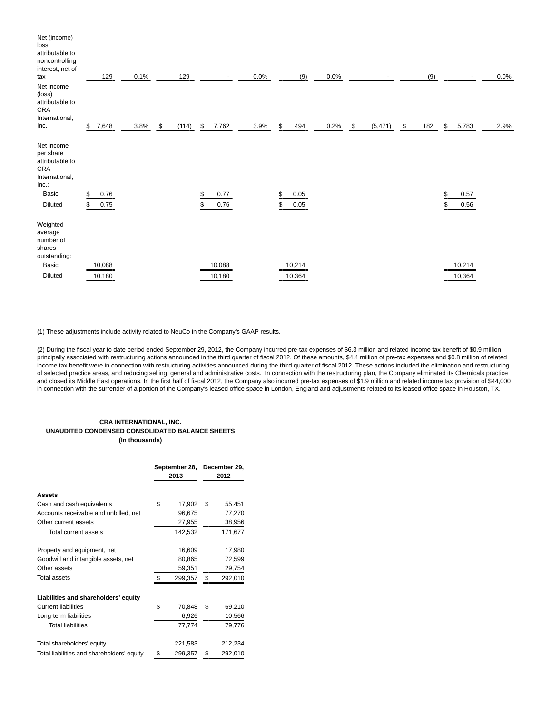| Net (income)<br>loss<br>attributable to<br>noncontrolling<br>interest, net of<br>tax<br>Net income<br>(loss)<br>attributable to<br>CRA<br>International, | 129          | 0.1% | 129         |         | $\blacksquare$ | 0.0%       | (9)          | 0.0% |      |         | (9)       |                    | 0.0% |
|----------------------------------------------------------------------------------------------------------------------------------------------------------|--------------|------|-------------|---------|----------------|------------|--------------|------|------|---------|-----------|--------------------|------|
| Inc.                                                                                                                                                     | \$7,648      | 3.8% | \$<br>(114) | \$      | 7,762          | 3.9%<br>\$ | 494          | 0.2% | - \$ | (5,471) | \$<br>182 | \$<br>5,783        | 2.9% |
| Net income<br>per share<br>attributable to<br>CRA<br>International,<br>Inc.<br>Basic<br>Diluted                                                          | 0.76<br>0.75 |      |             | \$<br>S | 0.77<br>0.76   | ፍ<br>\$    | 0.05<br>0.05 |      |      |         |           | \$<br>0.57<br>0.56 |      |
| Weighted<br>average<br>number of<br>shares<br>outstanding:                                                                                               |              |      |             |         |                |            |              |      |      |         |           |                    |      |
| Basic                                                                                                                                                    | 10,088       |      |             |         | 10,088         |            | 10,214       |      |      |         |           | 10,214             |      |
| <b>Diluted</b>                                                                                                                                           | 10,180       |      |             |         | 10,180         |            | 10,364       |      |      |         |           | 10,364             |      |
|                                                                                                                                                          |              |      |             |         |                |            |              |      |      |         |           |                    |      |

(1) These adjustments include activity related to NeuCo in the Company's GAAP results.

(2) During the fiscal year to date period ended September 29, 2012, the Company incurred pre-tax expenses of \$6.3 million and related income tax benefit of \$0.9 million principally associated with restructuring actions announced in the third quarter of fiscal 2012. Of these amounts, \$4.4 million of pre-tax expenses and \$0.8 million of related income tax benefit were in connection with restructuring activities announced during the third quarter of fiscal 2012. These actions included the elimination and restructuring of selected practice areas, and reducing selling, general and administrative costs. In connection with the restructuring plan, the Company eliminated its Chemicals practice and closed its Middle East operations. In the first half of fiscal 2012, the Company also incurred pre-tax expenses of \$1.9 million and related income tax provision of \$44,000 in connection with the surrender of a portion of the Company's leased office space in London, England and adjustments related to its leased office space in Houston, TX.

## **CRA INTERNATIONAL, INC. UNAUDITED CONDENSED CONSOLIDATED BALANCE SHEETS (In thousands)**

|                                            | September 28,<br>2013 |     | December 29,<br>2012 |
|--------------------------------------------|-----------------------|-----|----------------------|
| Assets                                     |                       |     |                      |
| Cash and cash equivalents                  | \$<br>17,902          | \$  | 55,451               |
| Accounts receivable and unbilled, net      | 96,675                |     | 77,270               |
| Other current assets                       | 27,955                |     | 38,956               |
| Total current assets                       | 142,532               |     | 171,677              |
| Property and equipment, net                | 16,609                |     | 17,980               |
| Goodwill and intangible assets, net        | 80,865                |     | 72,599               |
| Other assets                               | 59,351                |     | 29,754               |
| Total assets                               | \$<br>299,357         | \$  | 292,010              |
| Liabilities and shareholders' equity       |                       |     |                      |
| <b>Current liabilities</b>                 | \$<br>70,848          | \$. | 69,210               |
| Long-term liabilities                      | 6,926                 |     | 10,566               |
| <b>Total liabilities</b>                   | 77,774                |     | 79,776               |
| Total shareholders' equity                 | 221,583               |     | 212,234              |
| Total liabilities and shareholders' equity | \$<br>299,357         | S   | 292,010              |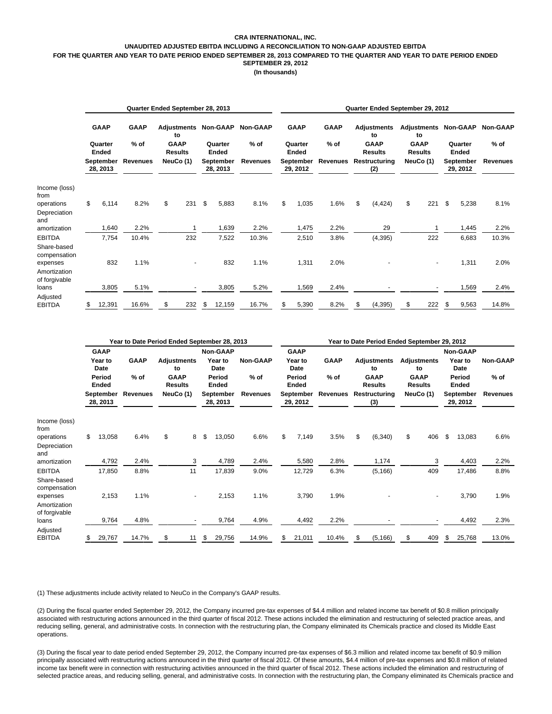## **CRA INTERNATIONAL, INC.**

# **UNAUDITED ADJUSTED EBITDA INCLUDING A RECONCILIATION TO NON-GAAP ADJUSTED EBITDA**

**FOR THE QUARTER AND YEAR TO DATE PERIOD ENDED SEPTEMBER 28, 2013 COMPARED TO THE QUARTER AND YEAR TO DATE PERIOD ENDED SEPTEMBER 29, 2012**

**(In thousands)**

|                               |                                                          |        | Quarter Ended September 28, 2013 |                               |                   |                       |                 |                 | Quarter Ended September 29, 2012                                |       |                 |                                                                                          |          |                                                                        |     |                                                       |       |                                              |
|-------------------------------|----------------------------------------------------------|--------|----------------------------------|-------------------------------|-------------------|-----------------------|-----------------|-----------------|-----------------------------------------------------------------|-------|-----------------|------------------------------------------------------------------------------------------|----------|------------------------------------------------------------------------|-----|-------------------------------------------------------|-------|----------------------------------------------|
|                               | <b>GAAP</b><br>Quarter<br>Ended<br>September<br>28, 2013 |        | <b>GAAP</b>                      |                               | Adjustments<br>to |                       | <b>Non-GAAP</b> | <b>Non-GAAP</b> | <b>GAAP</b><br>Quarter<br><b>Ended</b><br>September<br>29, 2012 |       | <b>GAAP</b>     | <b>Adjustments</b><br>to<br><b>GAAP</b><br><b>Results</b><br><b>Restructuring</b><br>(2) |          | <b>Adjustments</b><br>to<br><b>GAAP</b><br><b>Results</b><br>NeuCo (1) |     | Non-GAAP<br>Quarter<br>Ended<br>September<br>29, 2012 |       | <b>Non-GAAP</b><br>$%$ of<br><b>Revenues</b> |
|                               |                                                          |        | $%$ of                           | <b>GAAP</b><br><b>Results</b> |                   | Quarter<br>Ended      |                 | $%$ of          |                                                                 |       | $%$ of          |                                                                                          |          |                                                                        |     |                                                       |       |                                              |
|                               |                                                          |        | <b>Revenues</b>                  | NeuCo (1)                     |                   | September<br>28, 2013 |                 | <b>Revenues</b> |                                                                 |       | <b>Revenues</b> |                                                                                          |          |                                                                        |     |                                                       |       |                                              |
| Income (loss)<br>from         |                                                          |        |                                  |                               |                   |                       |                 |                 |                                                                 |       |                 |                                                                                          |          |                                                                        |     |                                                       |       |                                              |
| operations                    | \$                                                       | 6,114  | 8.2%                             | \$                            | 231               | \$                    | 5,883           | 8.1%            | \$                                                              | 1,035 | 1.6%            | \$                                                                                       | (4, 424) | \$                                                                     | 221 | \$                                                    | 5,238 | 8.1%                                         |
| Depreciation<br>and           |                                                          |        |                                  |                               |                   |                       |                 |                 |                                                                 |       |                 |                                                                                          |          |                                                                        |     |                                                       |       |                                              |
| amortization                  |                                                          | 1,640  | 2.2%                             |                               |                   |                       | 1,639           | 2.2%            |                                                                 | 1,475 | 2.2%            |                                                                                          | 29       |                                                                        |     |                                                       | 1,445 | 2.2%                                         |
| <b>EBITDA</b>                 |                                                          | 7,754  | 10.4%                            |                               | 232               |                       | 7,522           | 10.3%           |                                                                 | 2,510 | 3.8%            |                                                                                          | (4, 395) |                                                                        | 222 |                                                       | 6,683 | 10.3%                                        |
| Share-based<br>compensation   |                                                          |        |                                  |                               |                   |                       |                 |                 |                                                                 |       |                 |                                                                                          |          |                                                                        |     |                                                       |       |                                              |
| expenses                      |                                                          | 832    | 1.1%                             |                               |                   |                       | 832             | 1.1%            |                                                                 | 1,311 | 2.0%            |                                                                                          |          |                                                                        |     |                                                       | 1,311 | 2.0%                                         |
| Amortization<br>of forgivable |                                                          |        |                                  |                               |                   |                       |                 |                 |                                                                 |       |                 |                                                                                          |          |                                                                        |     |                                                       |       |                                              |
| loans                         |                                                          | 3,805  | 5.1%                             |                               |                   |                       | 3,805           | 5.2%            |                                                                 | 1,569 | 2.4%            |                                                                                          |          |                                                                        |     |                                                       | 1,569 | 2.4%                                         |
| Adjusted<br><b>EBITDA</b>     |                                                          | 12,391 | 16.6%                            | \$                            | 232               | \$                    | 12,159          | 16.7%           | \$                                                              | 5,390 | 8.2%            | \$                                                                                       | (4, 395) | \$                                                                     | 222 | \$                                                    | 9,563 | 14.8%                                        |

|                                                           |                                                                                                            |        | Year to Date Period Ended September 28, 2013 |           |                                                           |                       |                             |                 | Year to Date Period Ended September 29, 2012                               |        |                                          |                                                                                          |          |                                                                        |     |                                                                         |        |                                              |  |
|-----------------------------------------------------------|------------------------------------------------------------------------------------------------------------|--------|----------------------------------------------|-----------|-----------------------------------------------------------|-----------------------|-----------------------------|-----------------|----------------------------------------------------------------------------|--------|------------------------------------------|------------------------------------------------------------------------------------------|----------|------------------------------------------------------------------------|-----|-------------------------------------------------------------------------|--------|----------------------------------------------|--|
|                                                           | <b>GAAP</b><br><b>GAAP</b><br>Year to<br><b>Date</b><br>$%$ of<br>Period<br>Ended<br>September<br>28, 2013 |        |                                              |           | <b>Adjustments</b><br>to<br><b>GAAP</b><br><b>Results</b> |                       | Non-GAAP<br>Year to<br>Date | <b>Non-GAAP</b> | <b>GAAP</b><br>Year to<br>Date<br>Period<br>Ended<br>September<br>29, 2012 |        | <b>GAAP</b><br>$%$ of<br><b>Revenues</b> | <b>Adjustments</b><br>to<br><b>GAAP</b><br><b>Results</b><br><b>Restructuring</b><br>(3) |          | <b>Adjustments</b><br>to<br><b>GAAP</b><br><b>Results</b><br>NeuCo (1) |     | Non-GAAP<br>Year to<br>Date<br>Period<br>Ended<br>September<br>29, 2012 |        | <b>Non-GAAP</b><br>$%$ of<br><b>Revenues</b> |  |
|                                                           |                                                                                                            |        |                                              |           |                                                           |                       | Period<br>Ended             | $%$ of          |                                                                            |        |                                          |                                                                                          |          |                                                                        |     |                                                                         |        |                                              |  |
|                                                           |                                                                                                            |        | <b>Revenues</b>                              | NeuCo (1) |                                                           | September<br>28, 2013 |                             | <b>Revenues</b> |                                                                            |        |                                          |                                                                                          |          |                                                                        |     |                                                                         |        |                                              |  |
| Income (loss)<br>from                                     |                                                                                                            |        |                                              |           |                                                           |                       |                             |                 |                                                                            |        |                                          |                                                                                          |          |                                                                        |     |                                                                         |        |                                              |  |
| operations<br>Depreciation<br>and                         | \$                                                                                                         | 13,058 | 6.4%                                         | \$        | 8                                                         | \$                    | 13,050                      | 6.6%            | \$                                                                         | 7,149  | 3.5%                                     | \$                                                                                       | (6, 340) | \$                                                                     | 406 | \$                                                                      | 13,083 | 6.6%                                         |  |
| amortization                                              |                                                                                                            | 4,792  | 2.4%                                         |           | 3                                                         |                       | 4,789                       | 2.4%            |                                                                            | 5,580  | 2.8%                                     |                                                                                          | 1,174    |                                                                        | 3   |                                                                         | 4,403  | 2.2%                                         |  |
| <b>EBITDA</b><br>Share-based                              |                                                                                                            | 17,850 | 8.8%                                         |           | 11                                                        |                       | 17,839                      | 9.0%            |                                                                            | 12,729 | 6.3%                                     |                                                                                          | (5, 166) |                                                                        | 409 |                                                                         | 17,486 | 8.8%                                         |  |
| compensation<br>expenses<br>Amortization<br>of forgivable |                                                                                                            | 2,153  | 1.1%                                         |           |                                                           |                       | 2,153                       | 1.1%            |                                                                            | 3,790  | 1.9%                                     |                                                                                          |          |                                                                        |     |                                                                         | 3,790  | 1.9%                                         |  |
| loans                                                     |                                                                                                            | 9,764  | 4.8%                                         |           |                                                           |                       | 9,764                       | 4.9%            |                                                                            | 4,492  | 2.2%                                     |                                                                                          |          |                                                                        |     |                                                                         | 4,492  | 2.3%                                         |  |
| Adjusted<br><b>EBITDA</b>                                 |                                                                                                            | 29,767 | 14.7%                                        | \$        | 11                                                        | \$                    | 29,756                      | 14.9%           |                                                                            | 21,011 | 10.4%                                    | \$                                                                                       | (5, 166) | \$                                                                     | 409 | \$                                                                      | 25,768 | 13.0%                                        |  |

(1) These adjustments include activity related to NeuCo in the Company's GAAP results.

(2) During the fiscal quarter ended September 29, 2012, the Company incurred pre-tax expenses of \$4.4 million and related income tax benefit of \$0.8 million principally associated with restructuring actions announced in the third quarter of fiscal 2012. These actions included the elimination and restructuring of selected practice areas, and reducing selling, general, and administrative costs. In connection with the restructuring plan, the Company eliminated its Chemicals practice and closed its Middle East operations.

(3) During the fiscal year to date period ended September 29, 2012, the Company incurred pre-tax expenses of \$6.3 million and related income tax benefit of \$0.9 million principally associated with restructuring actions announced in the third quarter of fiscal 2012. Of these amounts, \$4.4 million of pre-tax expenses and \$0.8 million of related income tax benefit were in connection with restructuring activities announced in the third quarter of fiscal 2012. These actions included the elimination and restructuring of selected practice areas, and reducing selling, general, and administrative costs. In connection with the restructuring plan, the Company eliminated its Chemicals practice and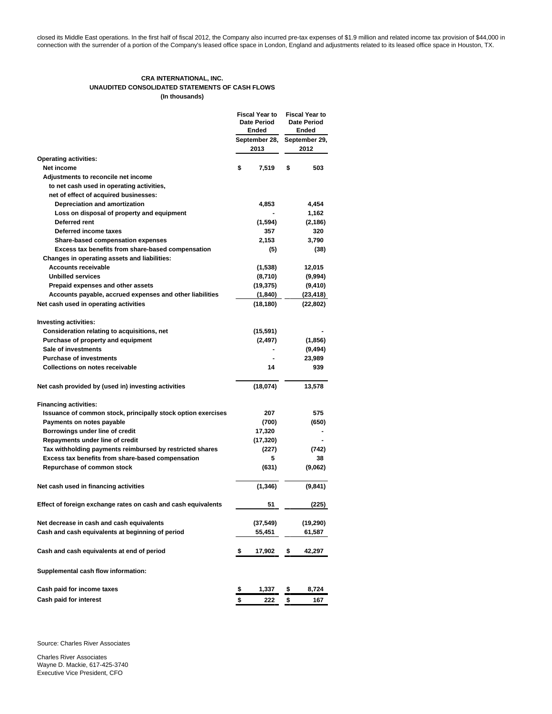closed its Middle East operations. In the first half of fiscal 2012, the Company also incurred pre-tax expenses of \$1.9 million and related income tax provision of \$44,000 in connection with the surrender of a portion of the Company's leased office space in London, England and adjustments related to its leased office space in Houston, TX.

## **CRA INTERNATIONAL, INC. UNAUDITED CONSOLIDATED STATEMENTS OF CASH FLOWS (In thousands)**

|                                                                                                   |           | <b>Fiscal Year to</b><br>Date Period<br>Ended |            | <b>Fiscal Year to</b><br><b>Date Period</b><br><b>Ended</b> |
|---------------------------------------------------------------------------------------------------|-----------|-----------------------------------------------|------------|-------------------------------------------------------------|
|                                                                                                   |           | September 28,<br>2013                         |            | September 29,<br>2012                                       |
| <b>Operating activities:</b>                                                                      |           |                                               |            |                                                             |
| Net income                                                                                        | \$        | 7.519                                         | \$         | 503                                                         |
| Adjustments to reconcile net income                                                               |           |                                               |            |                                                             |
| to net cash used in operating activities,                                                         |           |                                               |            |                                                             |
| net of effect of acquired businesses:                                                             |           |                                               |            |                                                             |
| Depreciation and amortization                                                                     |           | 4,853                                         |            | 4,454                                                       |
| Loss on disposal of property and equipment                                                        |           |                                               |            | 1,162                                                       |
| Deferred rent                                                                                     |           | (1,594)                                       |            | (2, 186)                                                    |
| Deferred income taxes                                                                             |           | 357                                           |            | 320                                                         |
| <b>Share-based compensation expenses</b>                                                          |           | 2.153                                         |            | 3.790                                                       |
| Excess tax benefits from share-based compensation<br>Changes in operating assets and liabilities: |           | (5)                                           |            | (38)                                                        |
| <b>Accounts receivable</b>                                                                        |           | (1,538)                                       |            | 12,015                                                      |
| <b>Unbilled services</b>                                                                          |           | (8,710)                                       |            | (9,994)                                                     |
| Prepaid expenses and other assets                                                                 |           | (19, 375)                                     |            | (9, 410)                                                    |
| Accounts payable, accrued expenses and other liabilities                                          |           | (1, 840)                                      |            | (23, 418)                                                   |
| Net cash used in operating activities                                                             |           | (18, 180)                                     |            | (22, 802)                                                   |
| <b>Investing activities:</b>                                                                      |           |                                               |            |                                                             |
| Consideration relating to acquisitions, net                                                       |           | (15, 591)                                     |            |                                                             |
| Purchase of property and equipment                                                                |           | (2, 497)                                      |            | (1, 856)                                                    |
| Sale of investments                                                                               |           |                                               |            | (9, 494)                                                    |
| <b>Purchase of investments</b>                                                                    |           |                                               |            | 23,989                                                      |
| Collections on notes receivable                                                                   |           | 14                                            |            | 939                                                         |
| Net cash provided by (used in) investing activities                                               |           | (18,074)                                      |            | 13,578                                                      |
| <b>Financing activities:</b>                                                                      |           |                                               |            |                                                             |
| Issuance of common stock, principally stock option exercises                                      |           | 207                                           |            | 575                                                         |
| Payments on notes payable                                                                         |           | (700)                                         |            | (650)                                                       |
| Borrowings under line of credit                                                                   |           | 17,320                                        |            |                                                             |
| Repayments under line of credit                                                                   |           | (17, 320)                                     |            |                                                             |
| Tax withholding payments reimbursed by restricted shares                                          |           | (227)                                         |            | (742)                                                       |
| Excess tax benefits from share-based compensation                                                 |           | 5                                             |            | 38                                                          |
| Repurchase of common stock                                                                        |           | (631)                                         |            | (9,062)                                                     |
| Net cash used in financing activities                                                             |           | (1, 346)                                      |            | (9, 841)                                                    |
| Effect of foreign exchange rates on cash and cash equivalents                                     |           | 51                                            |            | (225)                                                       |
| Net decrease in cash and cash equivalents                                                         |           | (37, 549)                                     |            | (19, 290)                                                   |
| Cash and cash equivalents at beginning of period                                                  |           | 55,451                                        |            | 61,587                                                      |
| Cash and cash equivalents at end of period                                                        | \$        | 17,902                                        | \$         | 42,297                                                      |
| Supplemental cash flow information:                                                               |           |                                               |            |                                                             |
| Cash paid for income taxes                                                                        | <u>\$</u> | 1,337                                         | <u>_\$</u> | 8,724                                                       |
| Cash paid for interest                                                                            | \$        | 222                                           | \$         | 167                                                         |

Source: Charles River Associates

Charles River Associates Wayne D. Mackie, 617-425-3740 Executive Vice President, CFO